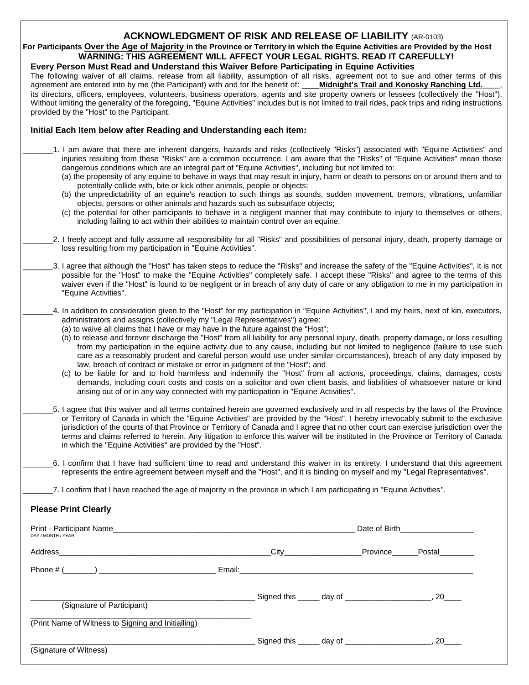### **ACKNOWLEDGMENT OF RISK AND RELEASE OF LIABILITY** (AR-0103)

**For Participants Over the Age of Majority in the Province or Territory in which the Equine Activities are Provided by the Host WARNING: THIS AGREEMENT WILL AFFECT YOUR LEGAL RIGHTS. READ IT CAREFULLY!** 

## **Every Person Must Read and Understand this Waiver Before Participating in Equine Activities**

The following waiver of all claims, release from all liability, assumption of all risks, agreement not to sue and other terms of this agreement are entered into by me (the Participant) with and for the benefit of: **Midnigh** agreement are entered into by me (the Participant) with and for the benefit of: \_ its directors, officers, employees, volunteers, business operators, agents and site property owners or lessees (collectively the "Host"). Without limiting the generality of the foregoing, "Equine Activities" includes but is not limited to trail rides, pack trips and riding instructions provided by the "Host" to the Participant.

#### **Initial Each Item below after Reading and Understanding each item:**

- \_\_\_\_\_\_\_1. I am aware that there are inherent dangers, hazards and risks (collectively "Risks") associated with "Equine Activities" and injuries resulting from these "Risks" are a common occurrence. I am aware that the "Risks" of "Equine Activities" mean those dangerous conditions which are an integral part of "Equine Activities", including but not limited to:
	- (a) the propensity of any equine to behave in ways that may result in injury, harm or death to persons on or around them and to potentially collide with, bite or kick other animals, people or objects;
	- (b) the unpredictability of an equine's reaction to such things as sounds, sudden movement, tremors, vibrations, unfamiliar objects, persons or other animals and hazards such as subsurface objects;
	- (c) the potential for other participants to behave in a negligent manner that may contribute to injury to themselves or others, including failing to act within their abilities to maintain control over an equine.
- \_\_\_\_\_\_\_2. I freely accept and fully assume all responsibility for all "Risks" and possibilities of personal injury, death, property damage or loss resulting from my participation in "Equine Activities".
- \_\_\_\_\_\_\_3. I agree that although the "Host" has taken steps to reduce the "Risks" and increase the safety of the "Equine Activities", it is not possible for the "Host" to make the "Equine Activities" completely safe. I accept these "Risks" and agree to the terms of this waiver even if the "Host" is found to be negligent or in breach of any duty of care or any obligation to me in my participation in "Equine Activities".
- \_\_\_\_\_\_\_4. In addition to consideration given to the "Host" for my participation in "Equine Activities", I and my heirs, next of kin, executors, administrators and assigns (collectively my "Legal Representatives") agree:
	- (a) to waive all claims that I have or may have in the future against the "Host";
	- (b) to release and forever discharge the "Host" from all liability for any personal injury, death, property damage, or loss resulting from my participation in the equine activity due to any cause, including but not limited to negligence (failure to use such care as a reasonably prudent and careful person would use under similar circumstances), breach of any duty imposed by law, breach of contract or mistake or error in judgment of the "Host"; and
	- (c) to be liable for and to hold harmless and indemnify the "Host" from all actions, proceedings, claims, damages, costs demands, including court costs and costs on a solicitor and own client basis, and liabilities of whatsoever nature or kind arising out of or in any way connected with my participation in "Equine Activities".
- \_\_\_\_\_\_\_5. I agree that this waiver and all terms contained herein are governed exclusively and in all respects by the laws of the Province or Territory of Canada in which the "Equine Activities" are provided by the "Host". I hereby irrevocably submit to the exclusive jurisdiction of the courts of that Province or Territory of Canada and I agree that no other court can exercise jurisdiction over the terms and claims referred to herein. Any litigation to enforce this waiver will be instituted in the Province or Territory of Canada in which the "Equine Activities" are provided by the "Host".
	- \_\_\_\_\_\_\_6. I confirm that I have had sufficient time to read and understand this waiver in its entirety. I understand that this agreement represents the entire agreement between myself and the "Host", and it is binding on myself and my "Legal Representatives".

\_\_\_\_\_\_\_7. I confirm that I have reached the age of majority in the province in which I am participating in "Equine Activities".

#### **Please Print Clearly**

| Print - Participant Name et al. 2006. The contract of the contract of the contract of the contract of the contract of the contract of the contract of the contract of the contract of the contract of the contract of the cont<br>DAY / MONTH / YEAR |                                                                                                                                                                                                                                |                                            | Date of Birth__________________ |
|------------------------------------------------------------------------------------------------------------------------------------------------------------------------------------------------------------------------------------------------------|--------------------------------------------------------------------------------------------------------------------------------------------------------------------------------------------------------------------------------|--------------------------------------------|---------------------------------|
| Address                                                                                                                                                                                                                                              | <b>City City</b>                                                                                                                                                                                                               |                                            | Province Postal                 |
| Phone $\#$ ( )                                                                                                                                                                                                                                       | Email: Email: All and the state of the state of the state of the state of the state of the state of the state of the state of the state of the state of the state of the state of the state of the state of the state of the s |                                            |                                 |
| (Signature of Participant)                                                                                                                                                                                                                           |                                                                                                                                                                                                                                | Signed this ______ day of ________________ | 20                              |
| (Print Name of Witness to Signing and Initialling)                                                                                                                                                                                                   |                                                                                                                                                                                                                                |                                            |                                 |
| (Signature of Witness)                                                                                                                                                                                                                               |                                                                                                                                                                                                                                |                                            | 20                              |